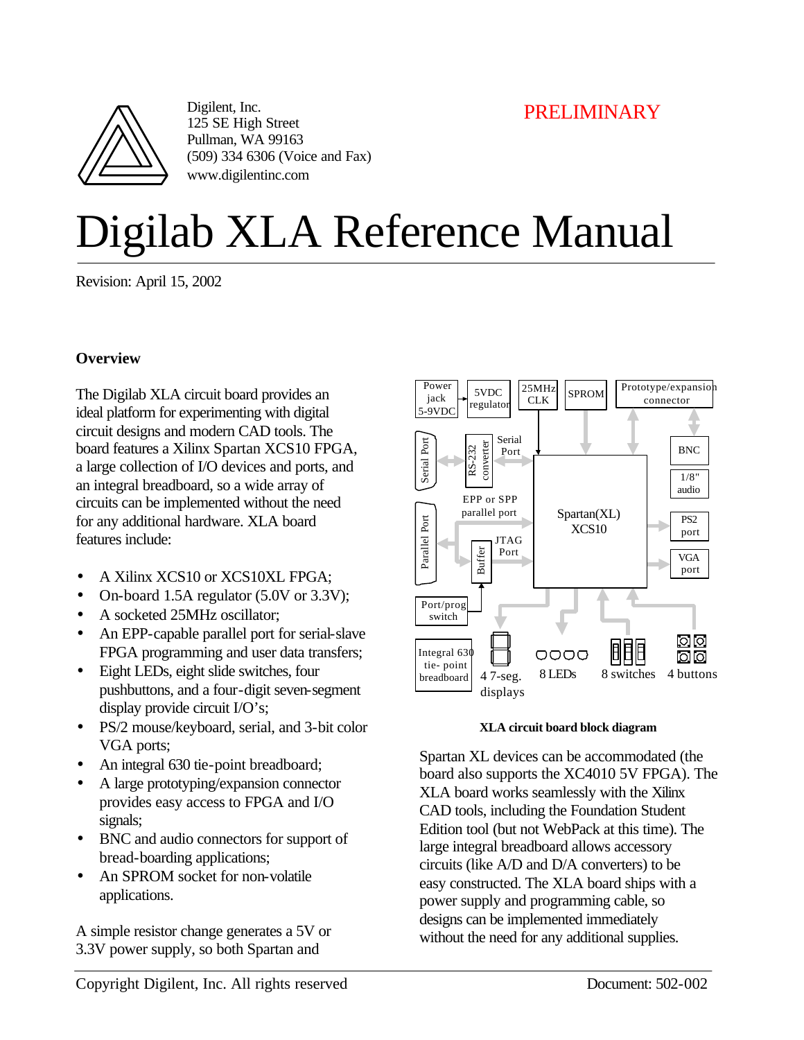# PRELIMINARY



Digilent, Inc. 125 SE High Street Pullman, WA 99163 (509) 334 6306 (Voice and Fax) www.digilentinc.com

# Digilab XLA Reference Manual

Revision: April 15, 2002

#### **Overview**

The Digilab XLA circuit board provides an ideal platform for experimenting with digital circuit designs and modern CAD tools. The board features a Xilinx Spartan XCS10 FPGA, a large collection of I/O devices and ports, and an integral breadboard, so a wide array of circuits can be implemented without the need for any additional hardware. XLA board features include:

- A Xilinx XCS10 or XCS10XL FPGA;
- On-board 1.5A regulator (5.0V or 3.3V);
- A socketed 25MHz oscillator:
- An EPP-capable parallel port for serial-slave FPGA programming and user data transfers;
- Eight LEDs, eight slide switches, four pushbuttons, and a four-digit seven-segment display provide circuit I/O's;
- PS/2 mouse/keyboard, serial, and 3-bit color VGA ports;
- An integral 630 tie-point breadboard;
- A large prototyping/expansion connector provides easy access to FPGA and I/O signals;
- BNC and audio connectors for support of bread-boarding applications;
- An SPROM socket for non-volatile applications.

A simple resistor change generates a 5V or 3.3V power supply, so both Spartan and



**XLA circuit board block diagram**

Spartan XL devices can be accommodated (the board also supports the XC4010 5V FPGA). The XLA board works seamlessly with the Xilinx CAD tools, including the Foundation Student Edition tool (but not WebPack at this time). The large integral breadboard allows accessory circuits (like A/D and D/A converters) to be easy constructed. The XLA board ships with a power supply and programming cable, so designs can be implemented immediately without the need for any additional supplies.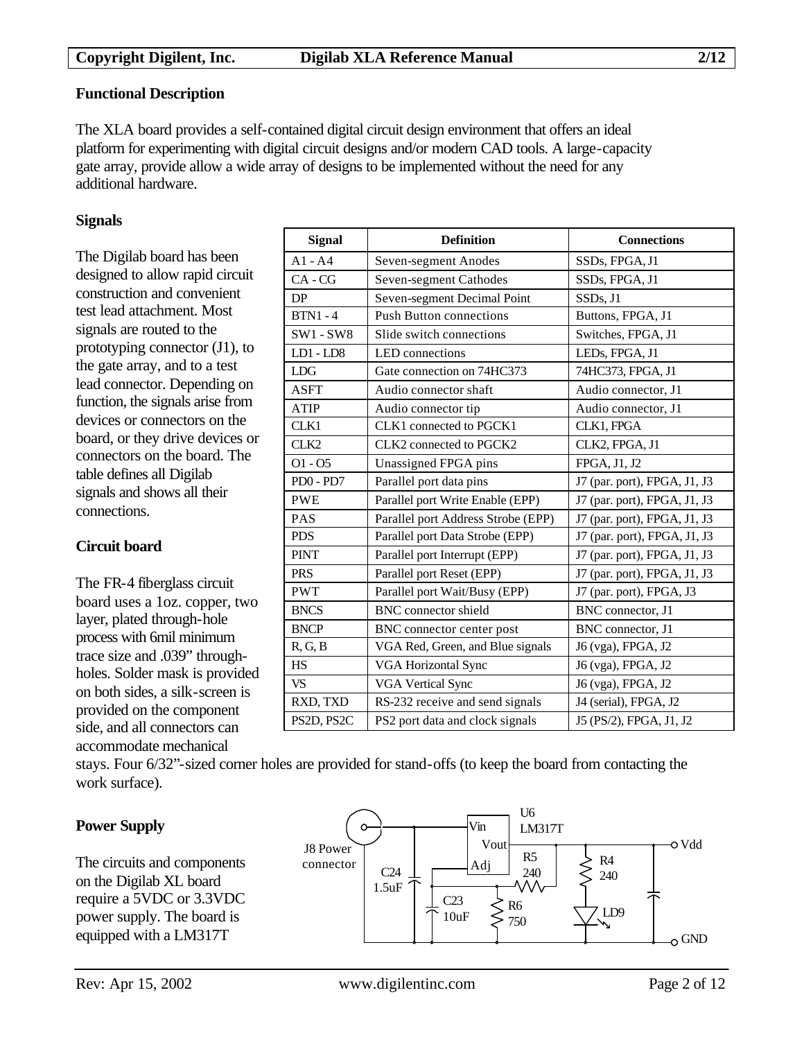#### **Functional Description**

The XLA board provides a self-contained digital circuit design environment that offers an ideal platform for experimenting with digital circuit designs and/or modern CAD tools. A large-capacity gate array, provide allow a wide array of designs to be implemented without the need for any additional hardware.

#### **Signals**

The Digilab board has been designed to allow rapid circuit construction and convenient test lead attachment. Most signals are routed to the prototyping connector (J1), to the gate array, and to a test lead connector. Depending on function, the signals arise from devices or connectors on the board, or they drive devices or connectors on the board. The table defines all Digilab signals and shows all their connections.

#### **Circuit board**

The FR-4 fiberglass circuit board uses a 1oz. copper, two layer, plated through-hole process with 6mil minimum trace size and .039" throughholes. Solder mask is provided on both sides, a silk-screen is provided on the component side, and all connectors can accommodate mechanical

| <b>Signal</b>    | <b>Definition</b>                  | <b>Connections</b>           |  |  |
|------------------|------------------------------------|------------------------------|--|--|
| $A1 - A4$        | Seven-segment Anodes               | SSDs, FPGA, J1               |  |  |
| $CA - CG$        | Seven-segment Cathodes             | SSDs, FPGA, J1               |  |  |
| DP               | Seven-segment Decimal Point        | SSDs, J1                     |  |  |
| $BTN1 - 4$       | <b>Push Button connections</b>     | Buttons, FPGA, J1            |  |  |
| $SW1 - SW8$      | Slide switch connections           | Switches, FPGA, J1           |  |  |
| $LD1 - LD8$      | LED connections                    | LEDs, FPGA, J1               |  |  |
| <b>LDG</b>       | Gate connection on 74HC373         | 74HC373, FPGA, J1            |  |  |
| <b>ASFT</b>      | Audio connector shaft              | Audio connector, J1          |  |  |
| <b>ATIP</b>      | Audio connector tip                | Audio connector, J1          |  |  |
| CLK1             | CLK1 connected to PGCK1            | CLK1, FPGA                   |  |  |
| CLK <sub>2</sub> | CLK2 connected to PGCK2            | CLK2, FPGA, J1               |  |  |
| $O1 - O5$        | Unassigned FPGA pins               | FPGA, J1, J2                 |  |  |
| PD0 - PD7        | Parallel port data pins            | J7 (par. port), FPGA, J1, J3 |  |  |
| <b>PWE</b>       | Parallel port Write Enable (EPP)   | J7 (par. port), FPGA, J1, J3 |  |  |
| <b>PAS</b>       | Parallel port Address Strobe (EPP) | J7 (par. port), FPGA, J1, J3 |  |  |
| <b>PDS</b>       | Parallel port Data Strobe (EPP)    | J7 (par. port), FPGA, J1, J3 |  |  |
| <b>PINT</b>      | Parallel port Interrupt (EPP)      | J7 (par. port), FPGA, J1, J3 |  |  |
| <b>PRS</b>       | Parallel port Reset (EPP)          | J7 (par. port), FPGA, J1, J3 |  |  |
| <b>PWT</b>       | Parallel port Wait/Busy (EPP)      | J7 (par. port), FPGA, J3     |  |  |
| <b>BNCS</b>      | <b>BNC</b> connector shield        | BNC connector, J1            |  |  |
| <b>BNCP</b>      | BNC connector center post          | BNC connector, J1            |  |  |
| R, G, B          | VGA Red, Green, and Blue signals   | J6 (vga), FPGA, J2           |  |  |
| <b>HS</b>        | <b>VGA Horizontal Sync</b>         | J6 (vga), FPGA, J2           |  |  |
| VS.              | <b>VGA Vertical Sync</b>           | J6 (vga), FPGA, J2           |  |  |
| RXD, TXD         | RS-232 receive and send signals    | J4 (serial), FPGA, J2        |  |  |
| PS2D, PS2C       | PS2 port data and clock signals    | J5 (PS/2), FPGA, J1, J2      |  |  |

stays. Four 6/32"-sized corner holes are provided for stand-offs (to keep the board from contacting the work surface).

# **Power Supply**

The circuits and components on the Digilab XL board require a 5VDC or 3.3VDC power supply. The board is equipped with a LM317T

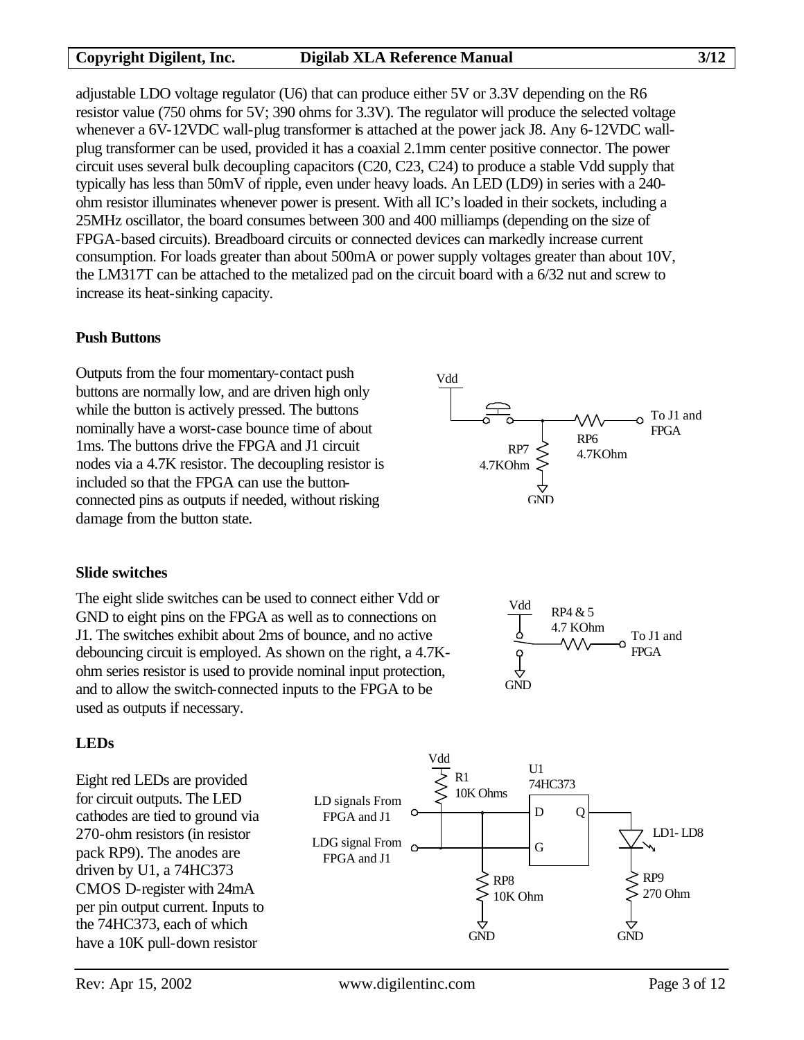Vdd

adjustable LDO voltage regulator (U6) that can produce either 5V or 3.3V depending on the R6 resistor value (750 ohms for 5V; 390 ohms for 3.3V). The regulator will produce the selected voltage whenever a 6V-12VDC wall-plug transformer is attached at the power jack J8. Any 6-12VDC wallplug transformer can be used, provided it has a coaxial 2.1mm center positive connector. The power circuit uses several bulk decoupling capacitors (C20, C23, C24) to produce a stable Vdd supply that typically has less than 50mV of ripple, even under heavy loads. An LED (LD9) in series with a 240 ohm resistor illuminates whenever power is present. With all IC's loaded in their sockets, including a 25MHz oscillator, the board consumes between 300 and 400 milliamps (depending on the size of FPGA-based circuits). Breadboard circuits or connected devices can markedly increase current consumption. For loads greater than about 500mA or power supply voltages greater than about 10V, the LM317T can be attached to the metalized pad on the circuit board with a 6/32 nut and screw to increase its heat-sinking capacity.

#### **Push Buttons**

Outputs from the four momentary-contact push buttons are normally low, and are driven high only while the button is actively pressed. The buttons nominally have a worst-case bounce time of about 1ms. The buttons drive the FPGA and J1 circuit nodes via a 4.7K resistor. The decoupling resistor is included so that the FPGA can use the buttonconnected pins as outputs if needed, without risking damage from the button state.



The eight slide switches can be used to connect either Vdd or GND to eight pins on the FPGA as well as to connections on J1. The switches exhibit about 2ms of bounce, and no active debouncing circuit is employed. As shown on the right, a 4.7Kohm series resistor is used to provide nominal input protection, and to allow the switch-connected inputs to the FPGA to be used as outputs if necessary.



RP6  $RP7 \leq 4.7KOhm$  To J1 and FPGA

**GND** 

4.7KOhm

# **LEDs**

Eight red LEDs are provided for circuit outputs. The LED cathodes are tied to ground via 270-ohm resistors (in resistor pack RP9). The anodes are driven by U1, a 74HC373 CMOS D-register with 24mA per pin output current. Inputs to the 74HC373, each of which have a 10K pull-down resistor

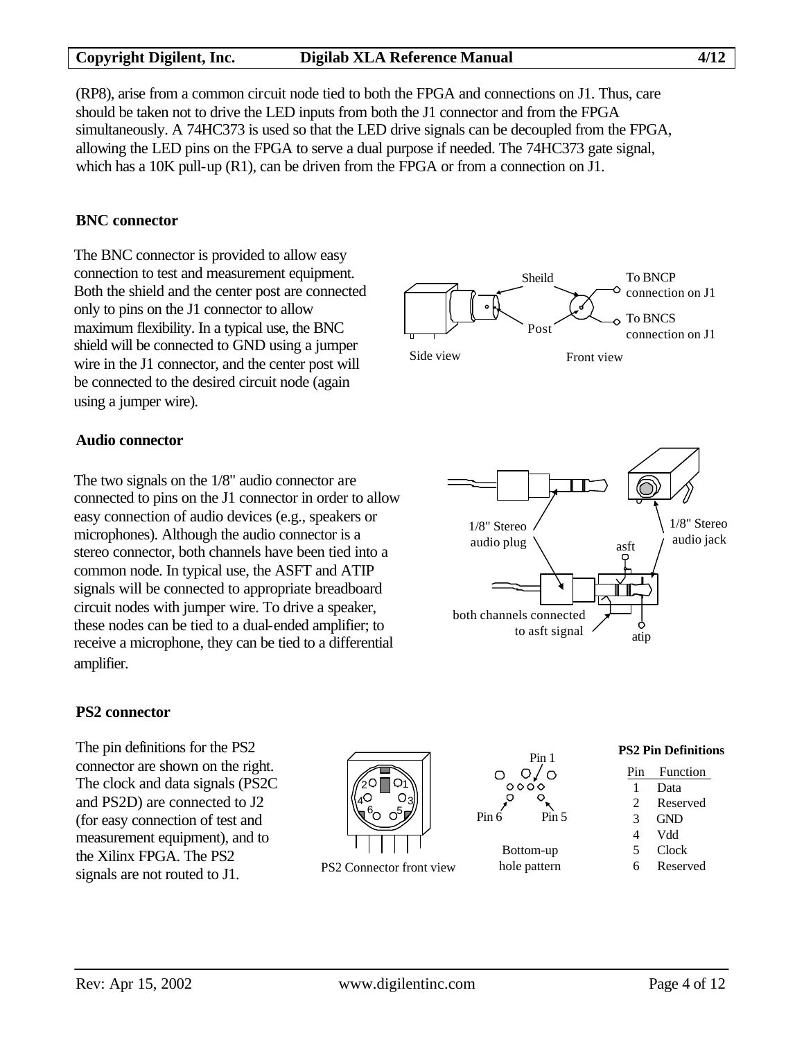#### **Copyright Digilent, Inc. Digilab XLA Reference Manual 4/12**

(RP8), arise from a common circuit node tied to both the FPGA and connections on J1. Thus, care should be taken not to drive the LED inputs from both the J1 connector and from the FPGA simultaneously. A 74HC373 is used so that the LED drive signals can be decoupled from the FPGA, allowing the LED pins on the FPGA to serve a dual purpose if needed. The 74HC373 gate signal, which has a 10K pull-up (R1), can be driven from the FPGA or from a connection on J1.

#### **BNC connector**

The BNC connector is provided to allow easy connection to test and measurement equipment. Both the shield and the center post are connected only to pins on the J1 connector to allow maximum flexibility. In a typical use, the BNC shield will be connected to GND using a jumper wire in the J1 connector, and the center post will be connected to the desired circuit node (again using a jumper wire).



#### **Audio connector**

The two signals on the 1/8" audio connector are connected to pins on the J1 connector in order to allow easy connection of audio devices (e.g., speakers or microphones). Although the audio connector is a stereo connector, both channels have been tied into a common node. In typical use, the ASFT and ATIP signals will be connected to appropriate breadboard circuit nodes with jumper wire. To drive a speaker, these nodes can be tied to a dual-ended amplifier; to receive a microphone, they can be tied to a differential amplifier.



#### **PS2 connector**

The pin definitions for the PS2 connector are shown on the right. The clock and data signals (PS2C and PS2D) are connected to J2 (for easy connection of test and measurement equipment), and to the Xilinx FPGA. The PS2 signals are not routed to J1.





### 1 Data

 2 Reserved 3 GND

**PS2 Pin Definitions** Pin Function

- 4 Vdd
- 5 Clock
- 
- 6 Reserved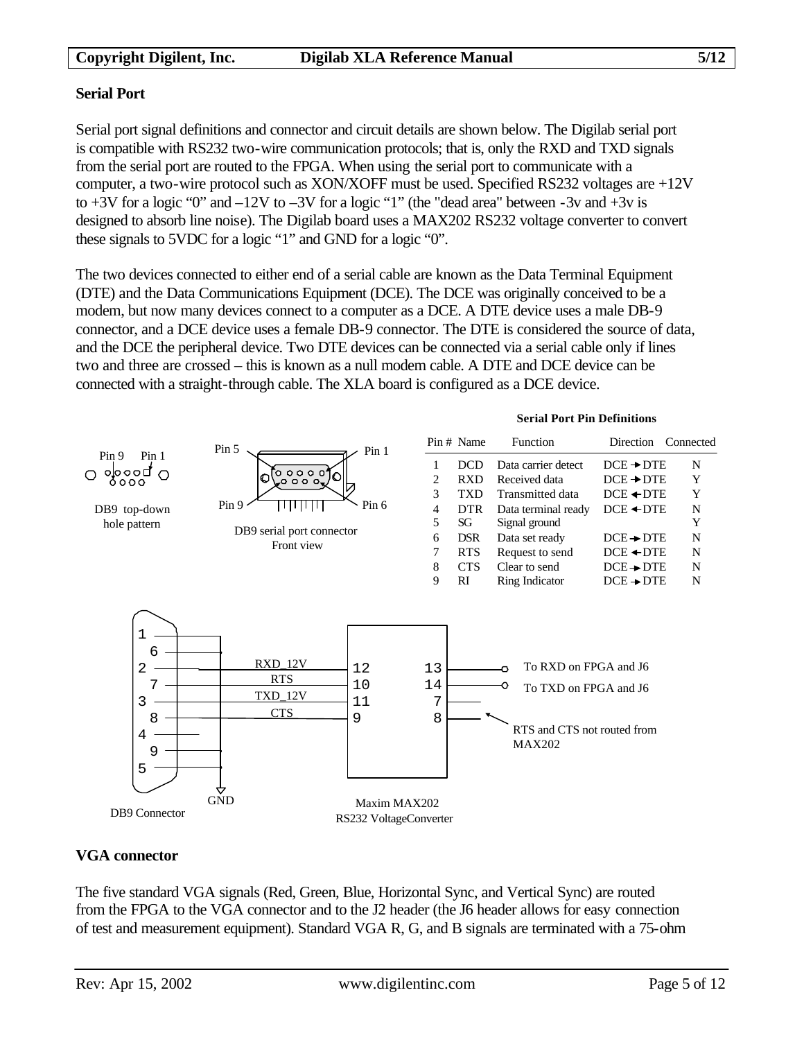#### **Serial Port**

Serial port signal definitions and connector and circuit details are shown below. The Digilab serial port is compatible with RS232 two-wire communication protocols; that is, only the RXD and TXD signals from the serial port are routed to the FPGA. When using the serial port to communicate with a computer, a two-wire protocol such as XON/XOFF must be used. Specified RS232 voltages are +12V to  $+3V$  for a logic "0" and  $-12V$  to  $-3V$  for a logic "1" (the "dead area" between  $-3v$  and  $+3v$  is designed to absorb line noise). The Digilab board uses a MAX202 RS232 voltage converter to convert these signals to 5VDC for a logic "1" and GND for a logic "0".

The two devices connected to either end of a serial cable are known as the Data Terminal Equipment (DTE) and the Data Communications Equipment (DCE). The DCE was originally conceived to be a modem, but now many devices connect to a computer as a DCE. A DTE device uses a male DB-9 connector, and a DCE device uses a female DB-9 connector. The DTE is considered the source of data, and the DCE the peripheral device. Two DTE devices can be connected via a serial cable only if lines two and three are crossed – this is known as a null modem cable. A DTE and DCE device can be connected with a straight-through cable. The XLA board is configured as a DCE device.



# **VGA connector**

The five standard VGA signals (Red, Green, Blue, Horizontal Sync, and Vertical Sync) are routed from the FPGA to the VGA connector and to the J2 header (the J6 header allows for easy connection of test and measurement equipment). Standard VGA R, G, and B signals are terminated with a 75-ohm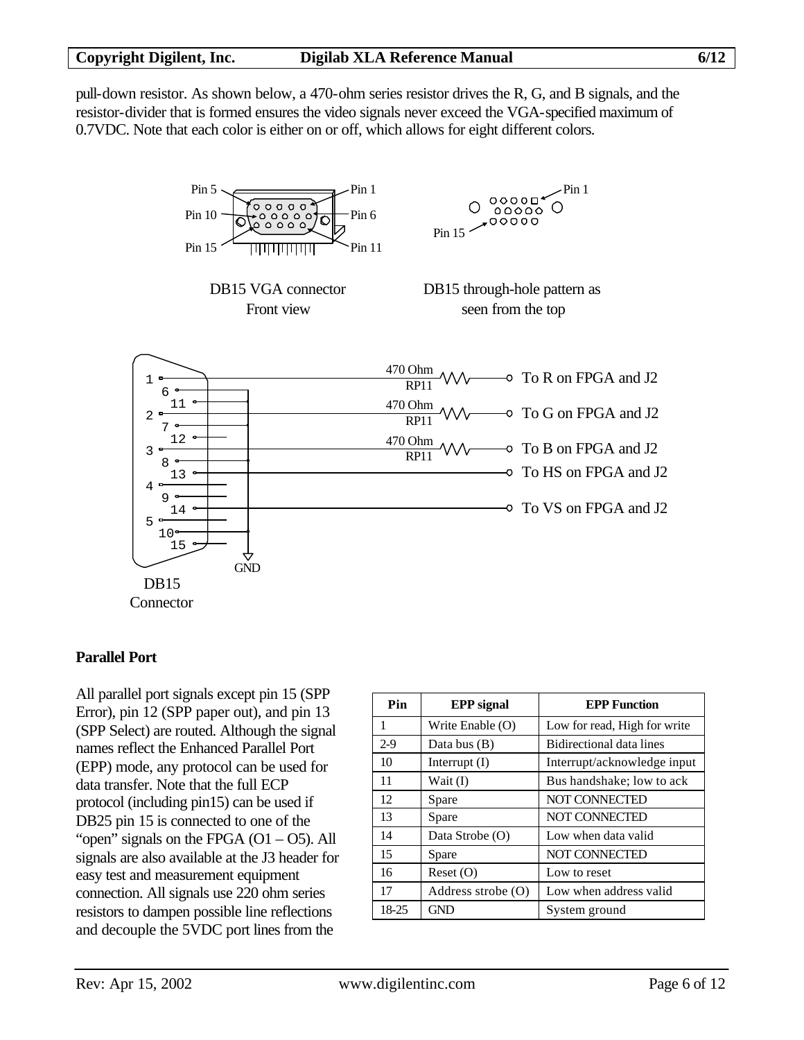pull-down resistor. As shown below, a 470-ohm series resistor drives the R, G, and B signals, and the resistor-divider that is formed ensures the video signals never exceed the VGA-specified maximum of 0.7VDC. Note that each color is either on or off, which allows for eight different colors.



#### **Parallel Port**

All parallel port signals except pin 15 (SPP Error), pin 12 (SPP paper out), and pin 13 (SPP Select) are routed. Although the signal names reflect the Enhanced Parallel Port (EPP) mode, any protocol can be used for data transfer. Note that the full ECP protocol (including pin15) can be used if DB25 pin 15 is connected to one of the "open" signals on the FPGA  $(O1 - O5)$ . All signals are also available at the J3 header for easy test and measurement equipment connection. All signals use 220 ohm series resistors to dampen possible line reflections and decouple the 5VDC port lines from the

| Pin   | <b>EPP</b> signal    | <b>EPP Function</b>          |  |  |
|-------|----------------------|------------------------------|--|--|
| 1     | Write Enable (O)     | Low for read, High for write |  |  |
| $2-9$ | Data bus $(B)$       | Bidirectional data lines     |  |  |
| 10    | Interrupt $(I)$      | Interrupt/acknowledge input  |  |  |
| 11    | Wait $(I)$           | Bus handshake; low to ack    |  |  |
| 12    | Spare                | <b>NOT CONNECTED</b>         |  |  |
| 13    | Spare                | <b>NOT CONNECTED</b>         |  |  |
| 14    | Data Strobe (O)      | Low when data valid          |  |  |
| 15    | Spare                | NOT CONNECTED                |  |  |
| 16    | Reset(O)             | Low to reset                 |  |  |
| 17    | Address strobe $(O)$ | Low when address valid       |  |  |
| 18-25 | <b>GND</b>           | System ground                |  |  |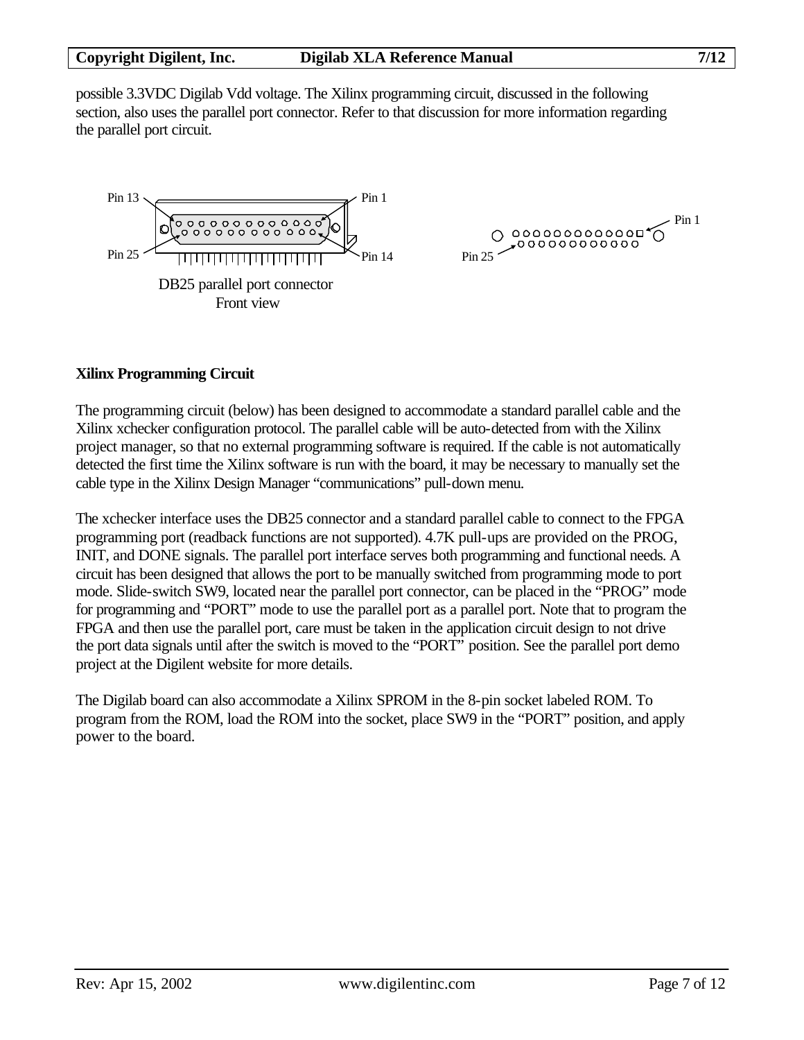possible 3.3VDC Digilab Vdd voltage. The Xilinx programming circuit, discussed in the following section, also uses the parallel port connector. Refer to that discussion for more information regarding the parallel port circuit.



#### **Xilinx Programming Circuit**

The programming circuit (below) has been designed to accommodate a standard parallel cable and the Xilinx xchecker configuration protocol. The parallel cable will be auto-detected from with the Xilinx project manager, so that no external programming software is required. If the cable is not automatically detected the first time the Xilinx software is run with the board, it may be necessary to manually set the cable type in the Xilinx Design Manager "communications" pull-down menu.

The xchecker interface uses the DB25 connector and a standard parallel cable to connect to the FPGA programming port (readback functions are not supported). 4.7K pull-ups are provided on the PROG, INIT, and DONE signals. The parallel port interface serves both programming and functional needs. A circuit has been designed that allows the port to be manually switched from programming mode to port mode. Slide-switch SW9, located near the parallel port connector, can be placed in the "PROG" mode for programming and "PORT" mode to use the parallel port as a parallel port. Note that to program the FPGA and then use the parallel port, care must be taken in the application circuit design to not drive the port data signals until after the switch is moved to the "PORT" position. See the parallel port demo project at the Digilent website for more details.

The Digilab board can also accommodate a Xilinx SPROM in the 8-pin socket labeled ROM. To program from the ROM, load the ROM into the socket, place SW9 in the "PORT" position, and apply power to the board.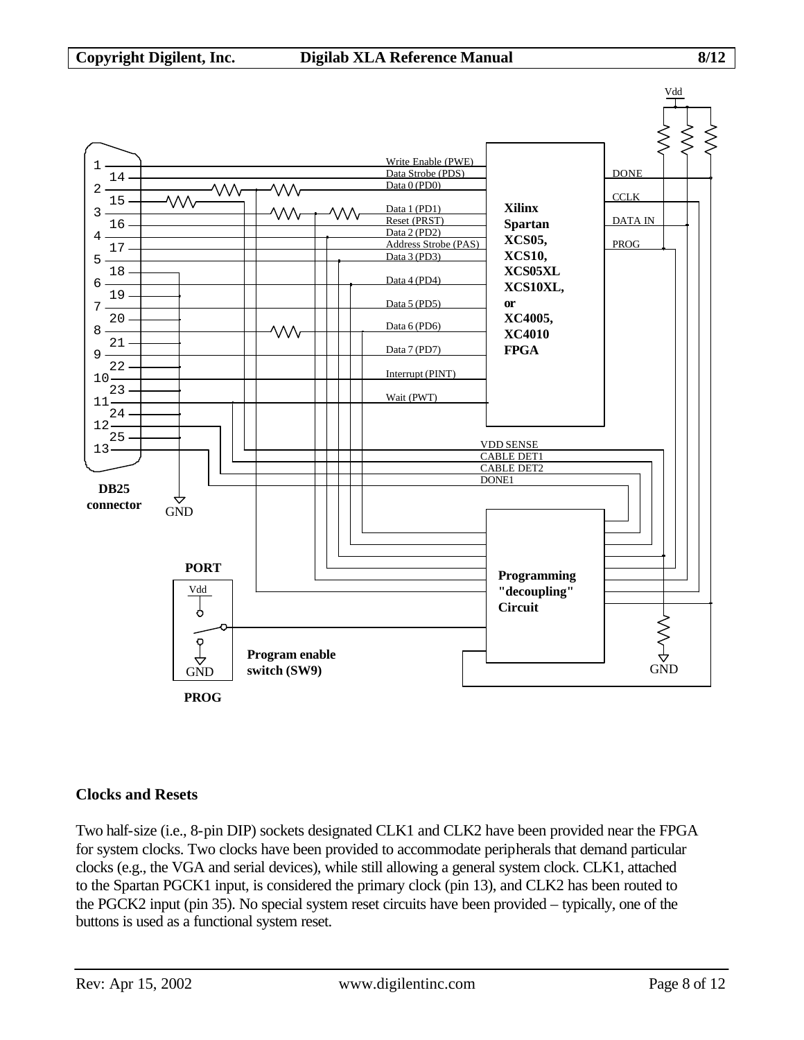

#### **Clocks and Resets**

Two half-size (i.e., 8-pin DIP) sockets designated CLK1 and CLK2 have been provided near the FPGA for system clocks. Two clocks have been provided to accommodate peripherals that demand particular clocks (e.g., the VGA and serial devices), while still allowing a general system clock. CLK1, attached to the Spartan PGCK1 input, is considered the primary clock (pin 13), and CLK2 has been routed to the PGCK2 input (pin 35). No special system reset circuits have been provided – typically, one of the buttons is used as a functional system reset.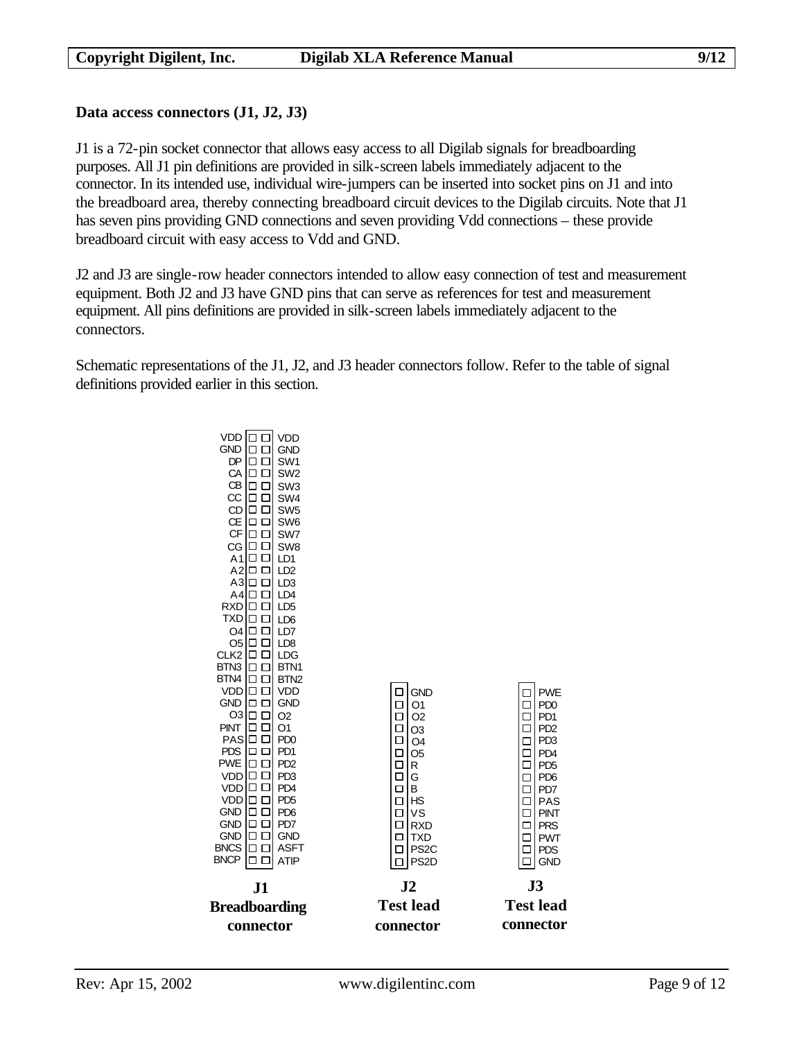#### **Data access connectors (J1, J2, J3)**

J1 is a 72-pin socket connector that allows easy access to all Digilab signals for breadboarding purposes. All J1 pin definitions are provided in silk-screen labels immediately adjacent to the connector. In its intended use, individual wire-jumpers can be inserted into socket pins on J1 and into the breadboard area, thereby connecting breadboard circuit devices to the Digilab circuits. Note that J1 has seven pins providing GND connections and seven providing Vdd connections – these provide breadboard circuit with easy access to Vdd and GND.

J2 and J3 are single-row header connectors intended to allow easy connection of test and measurement equipment. Both J2 and J3 have GND pins that can serve as references for test and measurement equipment. All pins definitions are provided in silk-screen labels immediately adjacent to the connectors.

Schematic representations of the J1, J2, and J3 header connectors follow. Refer to the table of signal definitions provided earlier in this section.

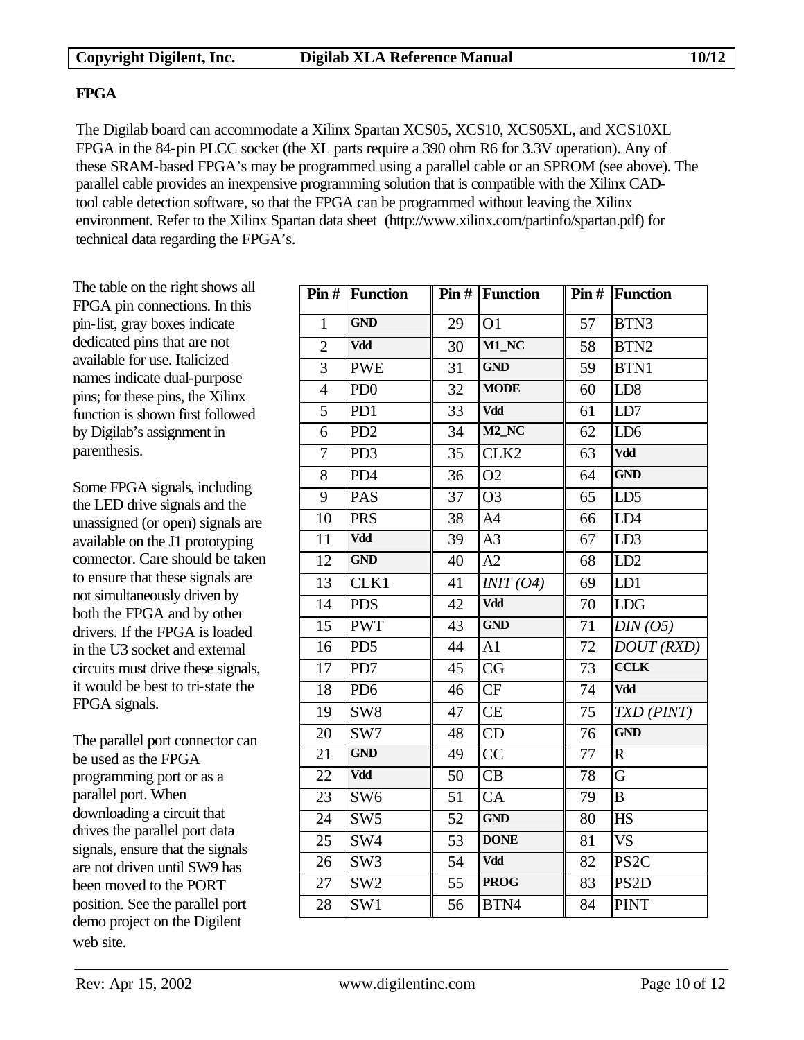### **FPGA**

The Digilab board can accommodate a Xilinx Spartan XCS05, XCS10, XCS05XL, and XCS10XL FPGA in the 84-pin PLCC socket (the XL parts require a 390 ohm R6 for 3.3V operation). Any of these SRAM-based FPGA's may be programmed using a parallel cable or an SPROM (see above). The parallel cable provides an inexpensive programming solution that is compatible with the Xilinx CADtool cable detection software, so that the FPGA can be programmed without leaving the Xilinx environment. Refer to the Xilinx Spartan data sheet (http://www.xilinx.com/partinfo/spartan.pdf) for technical data regarding the FPGA's.

The table on the right shows all FPGA pin connections. In this pin-list, gray boxes indicate dedicated pins that are not available for use. Italicized names indicate dual-purpose pins; for these pins, the Xilinx function is shown first followed by Digilab's assignment in parenthesis.

Some FPGA signals, including the LED drive signals and the unassigned (or open) signals are available on the J1 prototyping connector. Care should be taken to ensure that these signals are not simultaneously driven by both the FPGA and by other drivers. If the FPGA is loaded in the U3 socket and external circuits must drive these signals, it would be best to tri-state the FPGA signals.

The parallel port connector can be used as the FPGA programming port or as a parallel port. When downloading a circuit that drives the parallel port data signals, ensure that the signals are not driven until SW9 has been moved to the PORT position. See the parallel port demo project on the Digilent web site.

|                | $\text{Pin}\#$ Function |                 | $\text{Pin}\#$ Function |        | <b>Pin # Function</b> |
|----------------|-------------------------|-----------------|-------------------------|--------|-----------------------|
| $\mathbf{1}$   | <b>GND</b>              | 29              | O <sub>1</sub>          | 57     | BTN3                  |
| $\overline{2}$ | Vdd                     | $\overline{30}$ | M1_NC                   | 58     | BTN <sub>2</sub>      |
| 3              | <b>PWE</b>              | 31              | <b>GND</b>              | 59     | BTN1                  |
| $\overline{4}$ | PD <sub>0</sub>         | 32              | <b>MODE</b>             | 60     | LD <sub>8</sub>       |
| 5              | PD1                     | 33              | <b>Vdd</b>              | 61     | LD7                   |
| 6              | PD <sub>2</sub>         | 34              | $M2$ <sub>_NC</sub>     | 62     | LD <sub>6</sub>       |
| $\tau$         | PD <sub>3</sub>         | 35              | CLK <sub>2</sub>        | 63     | Vdd                   |
| 8              | PD4                     | $\overline{36}$ | O <sub>2</sub>          | 64     | <b>GND</b>            |
| 9              | <b>PAS</b>              | 37              | O <sub>3</sub>          | 65     | LD <sub>5</sub>       |
| 10             | <b>PRS</b>              | 38              | A <sub>4</sub>          | 66     | LD4                   |
| 11             | Vdd                     | 39              | A <sub>3</sub>          | 67     | LD3                   |
| 12             | <b>GND</b>              | 40              | A2                      | 68     | LD2                   |
| 13             | CLK1                    | 41              | INT (O4)                | 69     | LD1                   |
| 14             | <b>PDS</b>              | 42              | Vdd                     | 70     | LDG                   |
| 15             | <b>PWT</b>              | 43              | <b>GND</b>              | 71     | DIN(05)               |
| 16             | PD <sub>5</sub>         | 44              | A1                      | 72     | DOUT(RXD)             |
| 17             | PD7                     | 45              | CG                      | 73     | <b>CCLK</b>           |
| 18             | PD <sub>6</sub>         | 46              | CF                      | 74     | Vdd                   |
| 19             | SW <sub>8</sub>         | 47              | CE                      | 75     | TXD (PINT)            |
| 20             | SW7                     | 48              | CD                      | 76     | <b>GND</b>            |
| 21             | <b>GND</b>              | 49              | CC                      | 77     | $\mathbf R$           |
| 22             | Vdd                     | 50              | CB                      | $78\,$ | $\overline{G}$        |
| 23             | SW <sub>6</sub>         | 51              | CA                      | 79     | $\, {\bf B}$          |
| 24             | SW <sub>5</sub>         | 52              | <b>GND</b>              | 80     | HS                    |
| 25             | SW4                     | $\overline{5}3$ | <b>DONE</b>             | 81     | <b>VS</b>             |
| 26             | SW <sub>3</sub>         | 54              | Vdd                     | 82     | PS <sub>2C</sub>      |
| 27             | SW <sub>2</sub>         | $\overline{55}$ | <b>PROG</b>             | 83     | PS <sub>2</sub> D     |
| 28             | SW1                     | 56              | BTN4                    | 84     | <b>PINT</b>           |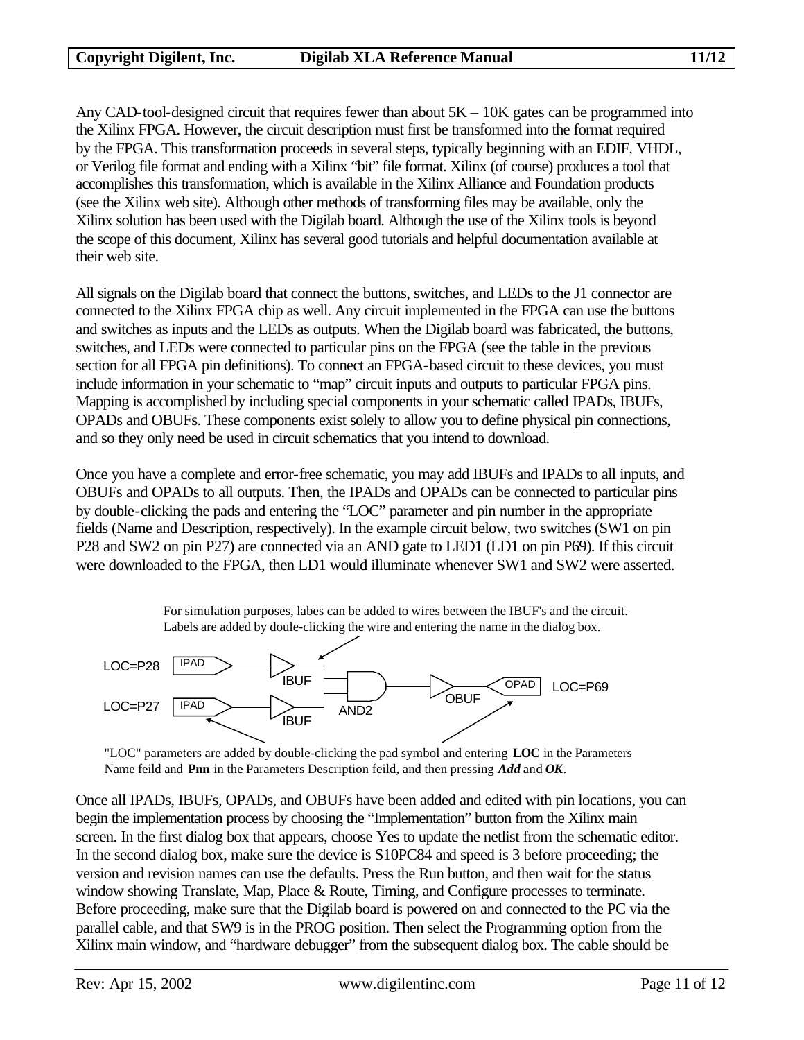Any CAD-tool-designed circuit that requires fewer than about  $5K - 10K$  gates can be programmed into the Xilinx FPGA. However, the circuit description must first be transformed into the format required by the FPGA. This transformation proceeds in several steps, typically beginning with an EDIF, VHDL, or Verilog file format and ending with a Xilinx "bit" file format. Xilinx (of course) produces a tool that accomplishes this transformation, which is available in the Xilinx Alliance and Foundation products (see the Xilinx web site). Although other methods of transforming files may be available, only the Xilinx solution has been used with the Digilab board. Although the use of the Xilinx tools is beyond the scope of this document, Xilinx has several good tutorials and helpful documentation available at their web site.

All signals on the Digilab board that connect the buttons, switches, and LEDs to the J1 connector are connected to the Xilinx FPGA chip as well. Any circuit implemented in the FPGA can use the buttons and switches as inputs and the LEDs as outputs. When the Digilab board was fabricated, the buttons, switches, and LEDs were connected to particular pins on the FPGA (see the table in the previous section for all FPGA pin definitions). To connect an FPGA-based circuit to these devices, you must include information in your schematic to "map" circuit inputs and outputs to particular FPGA pins. Mapping is accomplished by including special components in your schematic called IPADs, IBUFs, OPADs and OBUFs. These components exist solely to allow you to define physical pin connections, and so they only need be used in circuit schematics that you intend to download.

Once you have a complete and error-free schematic, you may add IBUFs and IPADs to all inputs, and OBUFs and OPADs to all outputs. Then, the IPADs and OPADs can be connected to particular pins by double-clicking the pads and entering the "LOC" parameter and pin number in the appropriate fields (Name and Description, respectively). In the example circuit below, two switches (SW1 on pin P28 and SW2 on pin P27) are connected via an AND gate to LED1 (LD1 on pin P69). If this circuit were downloaded to the FPGA, then LD1 would illuminate whenever SW1 and SW2 were asserted.

> For simulation purposes, labes can be added to wires between the IBUF's and the circuit. Labels are added by doule-clicking the wire and entering the name in the dialog box.





Once all IPADs, IBUFs, OPADs, and OBUFs have been added and edited with pin locations, you can begin the implementation process by choosing the "Implementation" button from the Xilinx main screen. In the first dialog box that appears, choose Yes to update the netlist from the schematic editor. In the second dialog box, make sure the device is S10PC84 and speed is 3 before proceeding; the version and revision names can use the defaults. Press the Run button, and then wait for the status window showing Translate, Map, Place & Route, Timing, and Configure processes to terminate. Before proceeding, make sure that the Digilab board is powered on and connected to the PC via the parallel cable, and that SW9 is in the PROG position. Then select the Programming option from the Xilinx main window, and "hardware debugger" from the subsequent dialog box. The cable should be